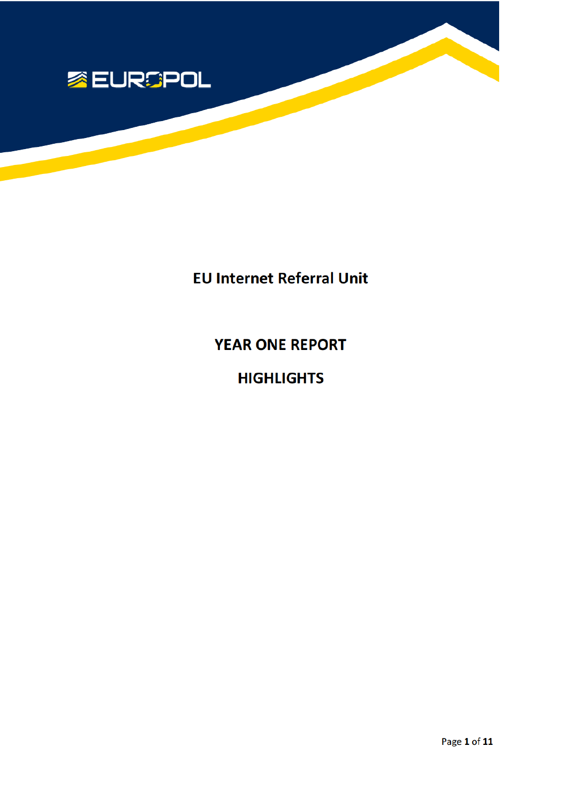

**EU Internet Referral Unit** 

**YEAR ONE REPORT** 

**HIGHLIGHTS**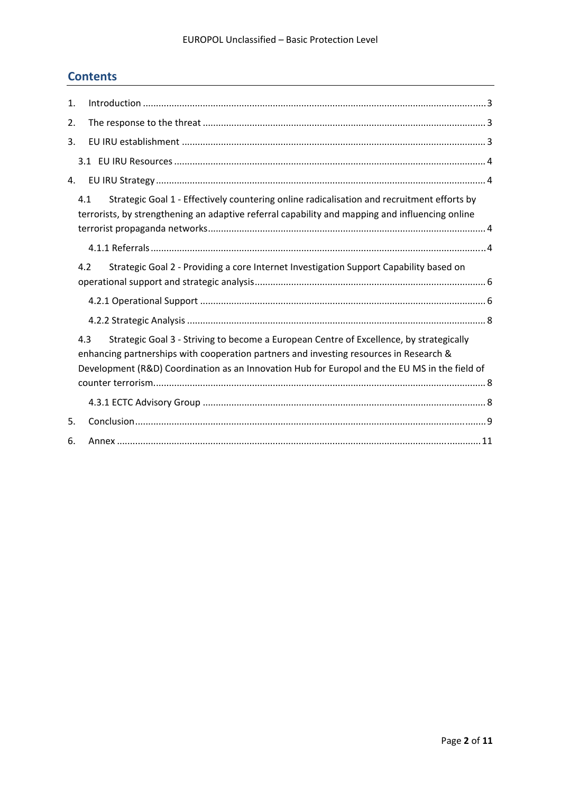# **Contents**

| 1. |                                                                                                                                                                                                                                                                                           |
|----|-------------------------------------------------------------------------------------------------------------------------------------------------------------------------------------------------------------------------------------------------------------------------------------------|
| 2. |                                                                                                                                                                                                                                                                                           |
| 3. |                                                                                                                                                                                                                                                                                           |
|    |                                                                                                                                                                                                                                                                                           |
| 4. |                                                                                                                                                                                                                                                                                           |
|    | Strategic Goal 1 - Effectively countering online radicalisation and recruitment efforts by<br>4.1<br>terrorists, by strengthening an adaptive referral capability and mapping and influencing online                                                                                      |
|    |                                                                                                                                                                                                                                                                                           |
|    | Strategic Goal 2 - Providing a core Internet Investigation Support Capability based on<br>4.2                                                                                                                                                                                             |
|    |                                                                                                                                                                                                                                                                                           |
|    |                                                                                                                                                                                                                                                                                           |
|    | 4.3<br>Strategic Goal 3 - Striving to become a European Centre of Excellence, by strategically<br>enhancing partnerships with cooperation partners and investing resources in Research &<br>Development (R&D) Coordination as an Innovation Hub for Europol and the EU MS in the field of |
|    |                                                                                                                                                                                                                                                                                           |
| 5. |                                                                                                                                                                                                                                                                                           |
| 6. |                                                                                                                                                                                                                                                                                           |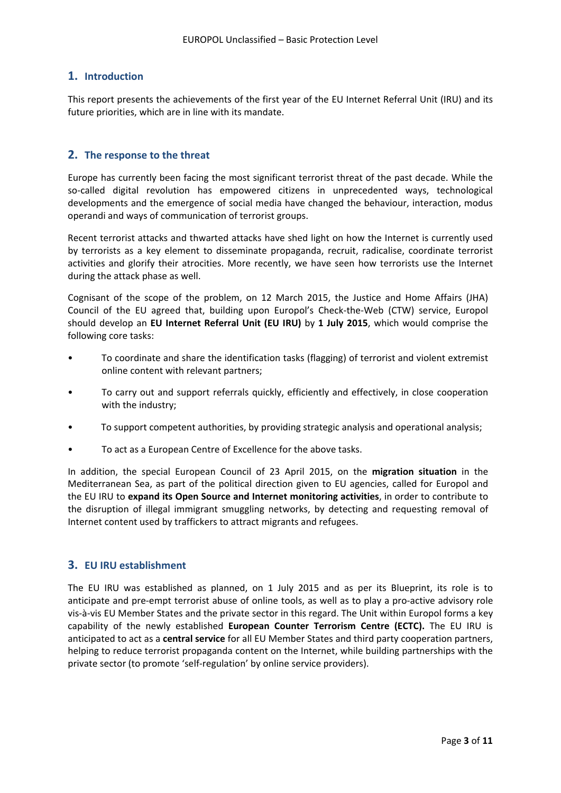# **1. Introduction**

This report presents the achievements of the first year of the EU Internet Referral Unit (IRU) and its future priorities, which are in line with its mandate.

## **2. The response to the threat**

Europe has currently been facing the most significant terrorist threat of the past decade. While the so-called digital revolution has empowered citizens in unprecedented ways, technological developments and the emergence of social media have changed the behaviour, interaction, modus operandi and ways of communication of terrorist groups.

Recent terrorist attacks and thwarted attacks have shed light on how the Internet is currently used by terrorists as a key element to disseminate propaganda, recruit, radicalise, coordinate terrorist activities and glorify their atrocities. More recently, we have seen how terrorists use the Internet during the attack phase as well.

Cognisant of the scope of the problem, on 12 March 2015, the Justice and Home Affairs (JHA) Council of the EU agreed that, building upon Europol's Check‐the‐Web (CTW) service, Europol should develop an **EU Internet Referral Unit (EU IRU)** by **1 July 2015**, which would comprise the following core tasks:

- To coordinate and share the identification tasks (flagging) of terrorist and violent extremist online content with relevant partners;
- To carry out and support referrals quickly, efficiently and effectively, in close cooperation with the industry;
- To support competent authorities, by providing strategic analysis and operational analysis;
- To act as a European Centre of Excellence for the above tasks.

In addition, the special European Council of 23 April 2015, on the **migration situation** in the Mediterranean Sea, as part of the political direction given to EU agencies, called for Europol and the EU IRU to **expand its Open Source and Internet monitoring activities**, in order to contribute to the disruption of illegal immigrant smuggling networks, by detecting and requesting removal of Internet content used by traffickers to attract migrants and refugees.

### **3. EU IRU establishment**

The EU IRU was established as planned, on 1 July 2015 and as per its Blueprint, its role is to anticipate and pre-empt terrorist abuse of online tools, as well as to play a pro-active advisory role vis‐à‐vis EU Member States and the private sector in this regard. The Unit within Europol forms a key capability of the newly established **European Counter Terrorism Centre (ECTC).** The EU IRU is anticipated to act as a **central service** for all EU Member States and third party cooperation partners, helping to reduce terrorist propaganda content on the Internet, while building partnerships with the private sector (to promote 'self‐regulation' by online service providers).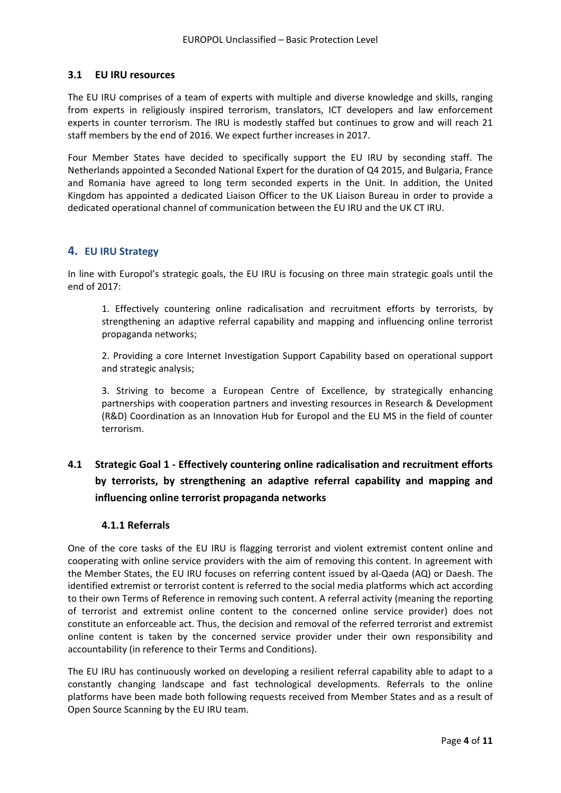# **3.1 EU IRU resources**

The EU IRU comprises of a team of experts with multiple and diverse knowledge and skills, ranging from experts in religiously inspired terrorism, translators, ICT developers and law enforcement experts in counter terrorism. The IRU is modestly staffed but continues to grow and will reach 21 staff members by the end of 2016. We expect further increases in 2017.

Four Member States have decided to specifically support the EU IRU by seconding staff. The Netherlands appointed a Seconded National Expert for the duration of Q4 2015, and Bulgaria, France and Romania have agreed to long term seconded experts in the Unit. In addition, the United Kingdom has appointed a dedicated Liaison Officer to the UK Liaison Bureau in order to provide a dedicated operational channel of communication between the EU IRU and the UK CT IRU.

# **4. EU IRU Strategy**

In line with Europol's strategic goals, the EU IRU is focusing on three main strategic goals until the end of 2017:

1. Effectively countering online radicalisation and recruitment efforts by terrorists, by strengthening an adaptive referral capability and mapping and influencing online terrorist propaganda networks;

2. Providing a core Internet Investigation Support Capability based on operational support and strategic analysis;

3. Striving to become a European Centre of Excellence, by strategically enhancing partnerships with cooperation partners and investing resources in Research & Development (R&D) Coordination as an Innovation Hub for Europol and the EU MS in the field of counter terrorism.

# **4.1 Strategic Goal 1 ‐ Effectively countering online radicalisation and recruitment efforts by terrorists, by strengthening an adaptive referral capability and mapping and influencing online terrorist propaganda networks**

# **4.1.1 Referrals**

One of the core tasks of the EU IRU is flagging terrorist and violent extremist content online and cooperating with online service providers with the aim of removing this content. In agreement with the Member States, the EU IRU focuses on referring content issued by al‐Qaeda (AQ) or Daesh. The identified extremist or terrorist content is referred to the social media platforms which act according to their own Terms of Reference in removing such content. A referral activity (meaning the reporting of terrorist and extremist online content to the concerned online service provider) does not constitute an enforceable act. Thus, the decision and removal of the referred terrorist and extremist online content is taken by the concerned service provider under their own responsibility and accountability (in reference to their Terms and Conditions).

The EU IRU has continuously worked on developing a resilient referral capability able to adapt to a constantly changing landscape and fast technological developments. Referrals to the online platforms have been made both following requests received from Member States and as a result of Open Source Scanning by the EU IRU team.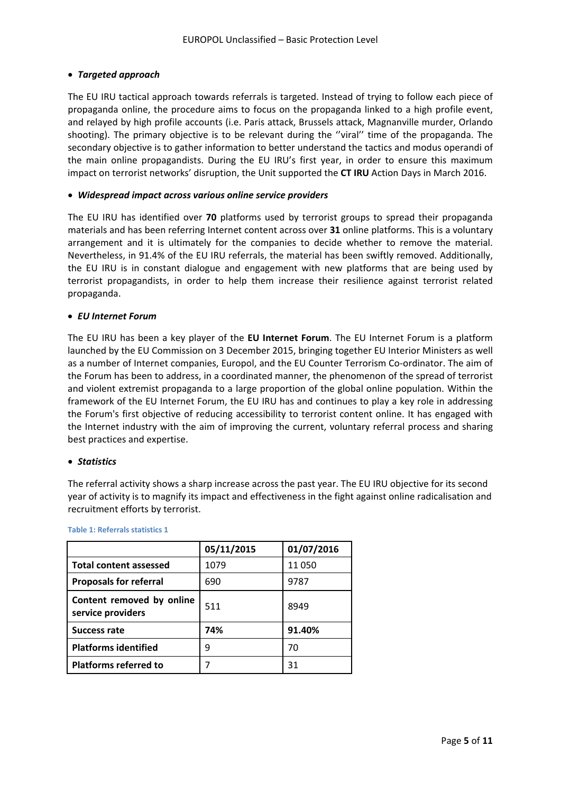## *Targeted approach*

The EU IRU tactical approach towards referrals is targeted. Instead of trying to follow each piece of propaganda online, the procedure aims to focus on the propaganda linked to a high profile event, and relayed by high profile accounts (i.e. Paris attack, Brussels attack, Magnanville murder, Orlando shooting). The primary objective is to be relevant during the ''viral'' time of the propaganda. The secondary objective is to gather information to better understand the tactics and modus operandi of the main online propagandists. During the EU IRU's first year, in order to ensure this maximum impact on terrorist networks' disruption, the Unit supported the **CT IRU** Action Days in March 2016.

### *Widespread impact across various online service providers*

The EU IRU has identified over **70** platforms used by terrorist groups to spread their propaganda materials and has been referring Internet content across over **31** online platforms. This is a voluntary arrangement and it is ultimately for the companies to decide whether to remove the material. Nevertheless, in 91.4% of the EU IRU referrals, the material has been swiftly removed. Additionally, the EU IRU is in constant dialogue and engagement with new platforms that are being used by terrorist propagandists, in order to help them increase their resilience against terrorist related propaganda.

### *EU Internet Forum*

The EU IRU has been a key player of the **EU Internet Forum**. The EU Internet Forum is a platform launched by the EU Commission on 3 December 2015, bringing together EU Interior Ministers as well as a number of Internet companies, Europol, and the EU Counter Terrorism Co-ordinator. The aim of the Forum has been to address, in a coordinated manner, the phenomenon of the spread of terrorist and violent extremist propaganda to a large proportion of the global online population. Within the framework of the EU Internet Forum, the EU IRU has and continues to play a key role in addressing the Forum's first objective of reducing accessibility to terrorist content online. It has engaged with the Internet industry with the aim of improving the current, voluntary referral process and sharing best practices and expertise.

### *Statistics*

The referral activity shows a sharp increase across the past year. The EU IRU objective for its second year of activity is to magnify its impact and effectiveness in the fight against online radicalisation and recruitment efforts by terrorist.

|                                                | 05/11/2015 | 01/07/2016 |
|------------------------------------------------|------------|------------|
| <b>Total content assessed</b>                  | 1079       | 11 050     |
| <b>Proposals for referral</b>                  | 690        | 9787       |
| Content removed by online<br>service providers | 511        | 8949       |
| <b>Success rate</b>                            | 74%        | 91.40%     |
| <b>Platforms identified</b>                    | q          | 70         |
| <b>Platforms referred to</b>                   |            | 31         |

#### **Table 1: Referrals statistics 1**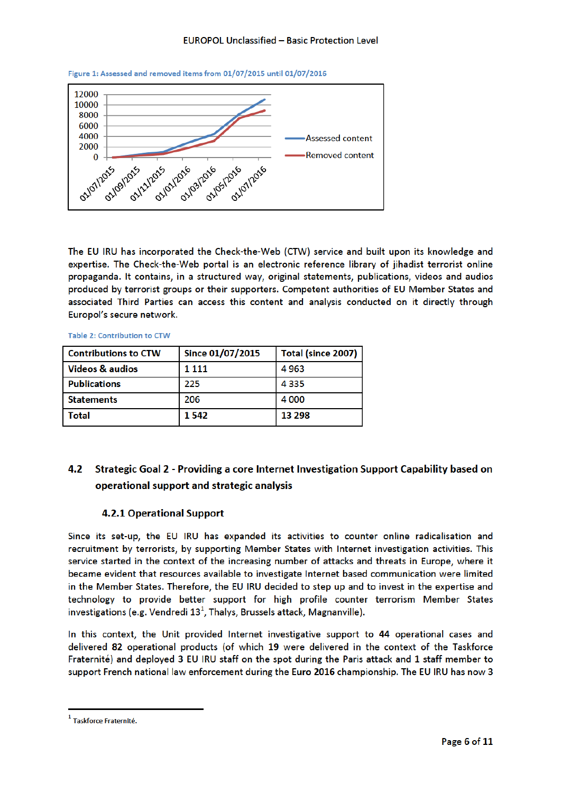



The EU IRU has incorporated the Check-the-Web (CTW) service and built upon its knowledge and expertise. The Check-the-Web portal is an electronic reference library of jihadist terrorist online propaganda. It contains, in a structured way, original statements, publications, videos and audios produced by terrorist groups or their supporters. Competent authorities of EU Member States and associated Third Parties can access this content and analysis conducted on it directly through Europol's secure network.

Table 2: Contribution to CTW

| <b>Contributions to CTW</b> | Since 01/07/2015 | Total (since 2007) |
|-----------------------------|------------------|--------------------|
| <b>Videos &amp; audios</b>  | 1 1 1 1          | 4963               |
| <b>Publications</b>         | 225              | 4 3 3 5            |
| <b>Statements</b>           | 206              | 4 0 0 0            |
| Total                       | 1542             | 13 298             |

#### Strategic Goal 2 - Providing a core Internet Investigation Support Capability based on  $4.2$ operational support and strategic analysis

# **4.2.1 Operational Support**

Since its set-up, the EU IRU has expanded its activities to counter online radicalisation and recruitment by terrorists, by supporting Member States with Internet investigation activities. This service started in the context of the increasing number of attacks and threats in Europe, where it became evident that resources available to investigate Internet based communication were limited in the Member States. Therefore, the EU IRU decided to step up and to invest in the expertise and technology to provide better support for high profile counter terrorism Member States investigations (e.g. Vendredi  $13<sup>1</sup>$ , Thalys, Brussels attack, Magnanville).

In this context, the Unit provided Internet investigative support to 44 operational cases and delivered 82 operational products (of which 19 were delivered in the context of the Taskforce Fraternité) and deployed 3 EU IRU staff on the spot during the Paris attack and 1 staff member to support French national law enforcement during the Euro 2016 championship. The EU IRU has now 3

<sup>&</sup>lt;sup>1</sup> Taskforce Fraternité.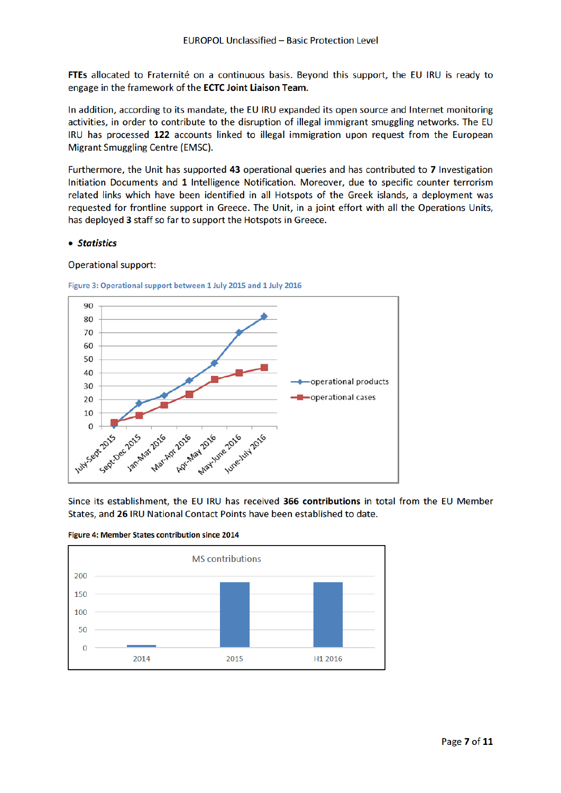FTEs allocated to Fraternité on a continuous basis. Beyond this support, the EU IRU is ready to engage in the framework of the ECTC Joint Liaison Team.

In addition, according to its mandate, the EU IRU expanded its open source and Internet monitoring activities, in order to contribute to the disruption of illegal immigrant smuggling networks. The EU IRU has processed 122 accounts linked to illegal immigration upon request from the European Migrant Smuggling Centre (EMSC).

Furthermore, the Unit has supported 43 operational queries and has contributed to 7 Investigation Initiation Documents and 1 Intelligence Notification. Moreover, due to specific counter terrorism related links which have been identified in all Hotspots of the Greek islands, a deployment was requested for frontline support in Greece. The Unit, in a joint effort with all the Operations Units, has deployed 3 staff so far to support the Hotspots in Greece.

### • Statistics

### **Operational support:**

#### Figure 3: Operational support between 1 July 2015 and 1 July 2016



Since its establishment, the EU IRU has received 366 contributions in total from the EU Member States, and 26 IRU National Contact Points have been established to date.



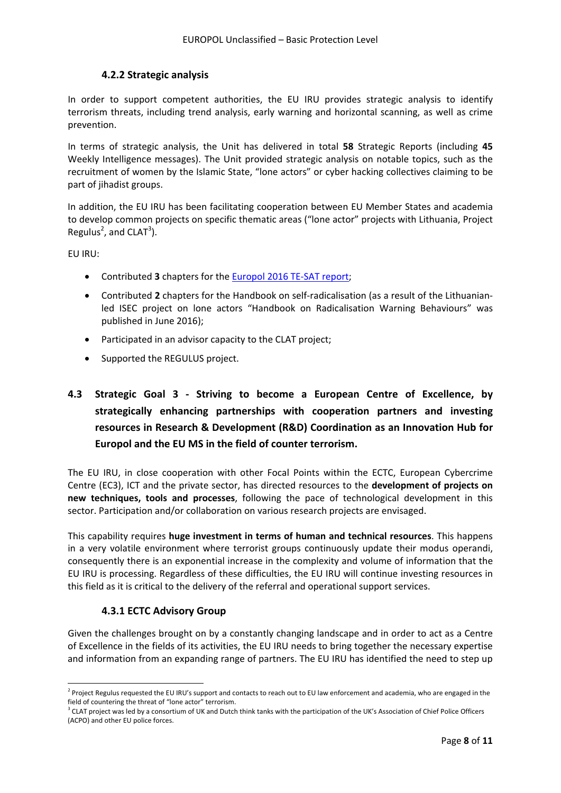# **4.2.2 Strategic analysis**

In order to support competent authorities, the EU IRU provides strategic analysis to identify terrorism threats, including trend analysis, early warning and horizontal scanning, as well as crime prevention.

In terms of strategic analysis, the Unit has delivered in total **58** Strategic Reports (including **45** Weekly Intelligence messages). The Unit provided strategic analysis on notable topics, such as the recruitment of women by the Islamic State, "lone actors" or cyber hacking collectives claiming to be part of jihadist groups.

In addition, the EU IRU has been facilitating cooperation between EU Member States and academia to develop common projects on specific thematic areas ("lone actor" projects with Lithuania, Project Regulus<sup>2</sup>, and CLAT<sup>3</sup>).

EU IRU:

- Contributed **3** chapters for the Europol 2016 TE‐SAT report;
- Contributed 2 chapters for the Handbook on self-radicalisation (as a result of the Lithuanianled ISEC project on lone actors "Handbook on Radicalisation Warning Behaviours" was published in June 2016);
- Participated in an advisor capacity to the CLAT project;
- Supported the REGULUS project.

# **4.3 Strategic Goal 3 ‐ Striving to become a European Centre of Excellence, by strategically enhancing partnerships with cooperation partners and investing resources in Research & Development (R&D) Coordination as an Innovation Hub for Europol and the EU MS in the field of counter terrorism.**

The EU IRU, in close cooperation with other Focal Points within the ECTC, European Cybercrime Centre (EC3), ICT and the private sector, has directed resources to the **development of projects on new techniques, tools and processes**, following the pace of technological development in this sector. Participation and/or collaboration on various research projects are envisaged.

This capability requires **huge investment in terms of human and technical resources**. This happens in a very volatile environment where terrorist groups continuously update their modus operandi, consequently there is an exponential increase in the complexity and volume of information that the EU IRU is processing. Regardless of these difficulties, the EU IRU will continue investing resources in this field as it is critical to the delivery of the referral and operational support services.

# **4.3.1 ECTC Advisory Group**

Given the challenges brought on by a constantly changing landscape and in order to act as a Centre of Excellence in the fields of its activities, the EU IRU needs to bring together the necessary expertise and information from an expanding range of partners. The EU IRU has identified the need to step up

 $2$  Project Regulus requested the EU IRU's support and contacts to reach out to EU law enforcement and academia, who are engaged in the field of countering the threat of "lone actor" terrorism.

 $3$  CLAT project was led by a consortium of UK and Dutch think tanks with the participation of the UK's Association of Chief Police Officers (ACPO) and other EU police forces.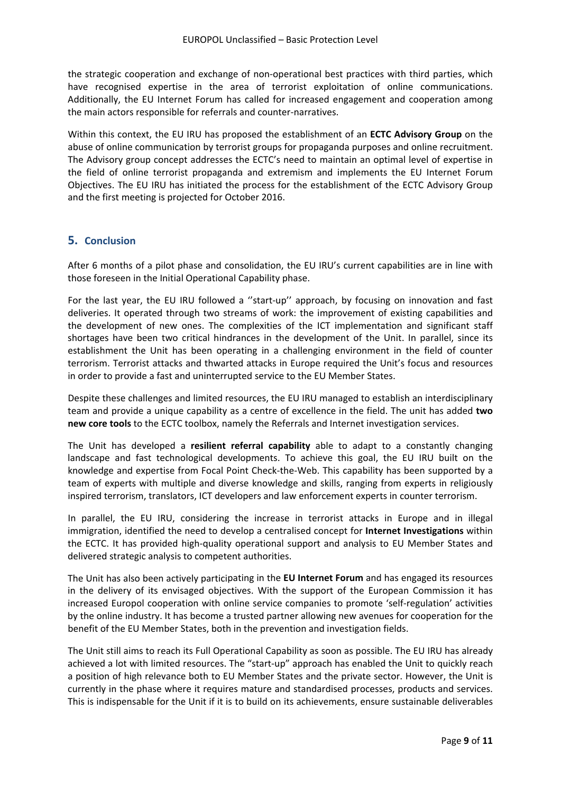the strategic cooperation and exchange of non-operational best practices with third parties, which have recognised expertise in the area of terrorist exploitation of online communications. Additionally, the EU Internet Forum has called for increased engagement and cooperation among the main actors responsible for referrals and counter‐narratives.

Within this context, the EU IRU has proposed the establishment of an **ECTC Advisory Group** on the abuse of online communication by terrorist groups for propaganda purposes and online recruitment. The Advisory group concept addresses the ECTC's need to maintain an optimal level of expertise in the field of online terrorist propaganda and extremism and implements the EU Internet Forum Objectives. The EU IRU has initiated the process for the establishment of the ECTC Advisory Group and the first meeting is projected for October 2016.

# **5. Conclusion**

After 6 months of a pilot phase and consolidation, the EU IRU's current capabilities are in line with those foreseen in the Initial Operational Capability phase.

For the last year, the EU IRU followed a "start-up" approach, by focusing on innovation and fast deliveries. It operated through two streams of work: the improvement of existing capabilities and the development of new ones. The complexities of the ICT implementation and significant staff shortages have been two critical hindrances in the development of the Unit. In parallel, since its establishment the Unit has been operating in a challenging environment in the field of counter terrorism. Terrorist attacks and thwarted attacks in Europe required the Unit's focus and resources in order to provide a fast and uninterrupted service to the EU Member States.

Despite these challenges and limited resources, the EU IRU managed to establish an interdisciplinary team and provide a unique capability as a centre of excellence in the field. The unit has added **two new core tools** to the ECTC toolbox, namely the Referrals and Internet investigation services.

The Unit has developed a **resilient referral capability** able to adapt to a constantly changing landscape and fast technological developments. To achieve this goal, the EU IRU built on the knowledge and expertise from Focal Point Check-the-Web. This capability has been supported by a team of experts with multiple and diverse knowledge and skills, ranging from experts in religiously inspired terrorism, translators, ICT developers and law enforcement experts in counter terrorism.

In parallel, the EU IRU, considering the increase in terrorist attacks in Europe and in illegal immigration, identified the need to develop a centralised concept for **Internet Investigations** within the ECTC. It has provided high‐quality operational support and analysis to EU Member States and delivered strategic analysis to competent authorities.

The Unit has also been actively participating in the **EU Internet Forum** and has engaged its resources in the delivery of its envisaged objectives. With the support of the European Commission it has increased Europol cooperation with online service companies to promote 'self‐regulation' activities by the online industry. It has become a trusted partner allowing new avenues for cooperation for the benefit of the EU Member States, both in the prevention and investigation fields.

The Unit still aims to reach its Full Operational Capability as soon as possible. The EU IRU has already achieved a lot with limited resources. The "start-up" approach has enabled the Unit to quickly reach a position of high relevance both to EU Member States and the private sector. However, the Unit is currently in the phase where it requires mature and standardised processes, products and services. This is indispensable for the Unit if it is to build on its achievements, ensure sustainable deliverables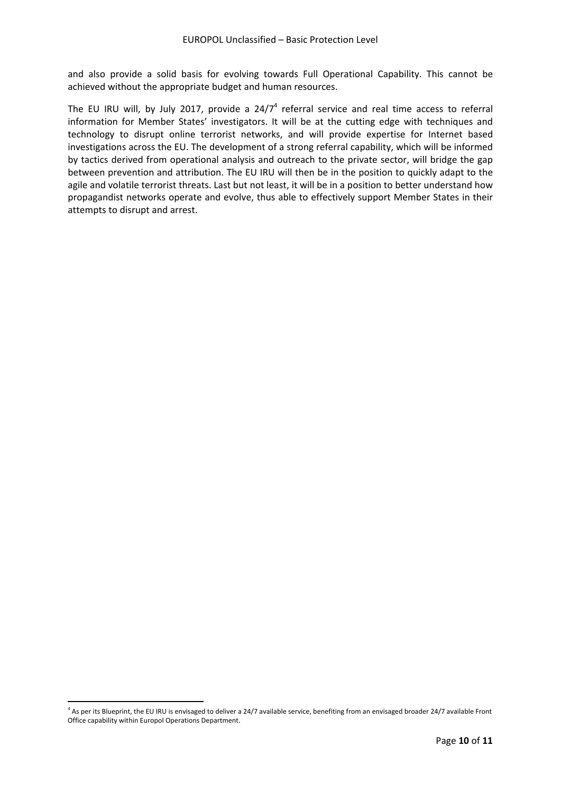and also provide a solid basis for evolving towards Full Operational Capability. This cannot be achieved without the appropriate budget and human resources.

The EU IRU will, by July 2017, provide a  $24/7<sup>4</sup>$  referral service and real time access to referral information for Member States' investigators. It will be at the cutting edge with techniques and technology to disrupt online terrorist networks, and will provide expertise for Internet based investigations across the EU. The development of a strong referral capability, which will be informed by tactics derived from operational analysis and outreach to the private sector, will bridge the gap between prevention and attribution. The EU IRU will then be in the position to quickly adapt to the agile and volatile terrorist threats. Last but not least, it will be in a position to better understand how propagandist networks operate and evolve, thus able to effectively support Member States in their attempts to disrupt and arrest.

 $4$  As per its Blueprint, the EU IRU is envisaged to deliver a 24/7 available service, benefiting from an envisaged broader 24/7 available Front Office capability within Europol Operations Department.